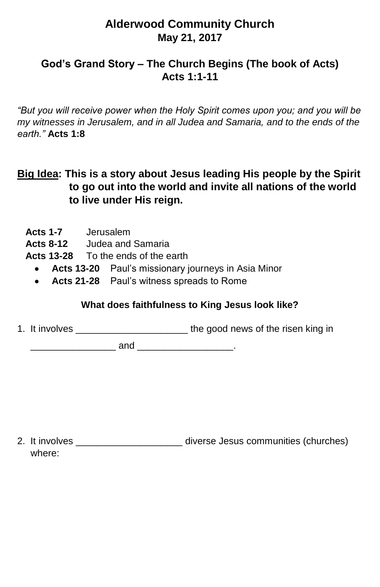# **Alderwood Community Church May 21, 2017**

## **God's Grand Story – The Church Begins (The book of Acts) Acts 1:1-11**

*"But you will receive power when the Holy Spirit comes upon you; and you will be my witnesses in Jerusalem, and in all Judea and Samaria, and to the ends of the earth."* **Acts 1:8**

## **Big Idea: This is a story about Jesus leading His people by the Spirit to go out into the world and invite all nations of the world to live under His reign.**

- **Acts 1-7** Jerusalem **Acts 8-12** Judea and Samaria **Acts 13-28** To the ends of the earth
	- **Acts 13-20** Paul's missionary journeys in Asia Minor
	- **Acts 21-28** Paul's witness spreads to Rome

#### **What does faithfulness to King Jesus look like?**

1. It involves \_\_\_\_\_\_\_\_\_\_\_\_\_\_\_\_\_\_\_\_\_ the good news of the risen king in

 $and$ 

2. It involves \_\_\_\_\_\_\_\_\_\_\_\_\_\_\_\_\_\_\_\_ diverse Jesus communities (churches) where: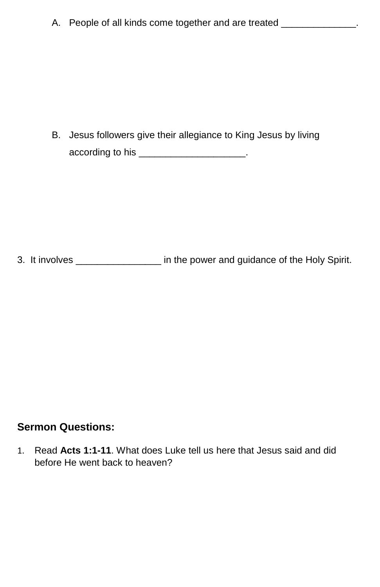B. Jesus followers give their allegiance to King Jesus by living according to his \_\_\_\_\_\_\_\_\_\_\_\_\_\_\_\_\_\_\_\_\_\_\_.

3. It involves \_\_\_\_\_\_\_\_\_\_\_\_\_\_\_\_ in the power and guidance of the Holy Spirit.

#### **Sermon Questions:**

1. Read **Acts 1:1-11**. What does Luke tell us here that Jesus said and did before He went back to heaven?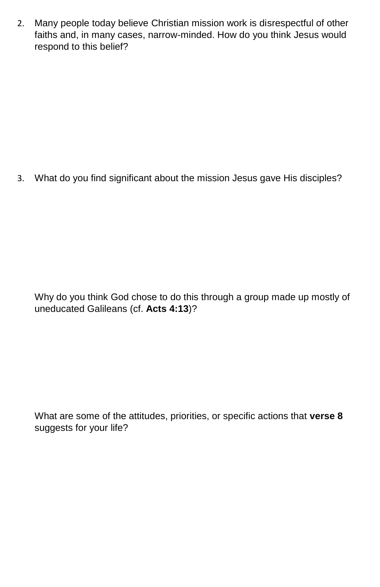2. Many people today believe Christian mission work is disrespectful of other faiths and, in many cases, narrow-minded. How do you think Jesus would respond to this belief?

3. What do you find significant about the mission Jesus gave His disciples?

Why do you think God chose to do this through a group made up mostly of uneducated Galileans (cf. **Acts 4:13**)?

What are some of the attitudes, priorities, or specific actions that **verse 8** suggests for your life?